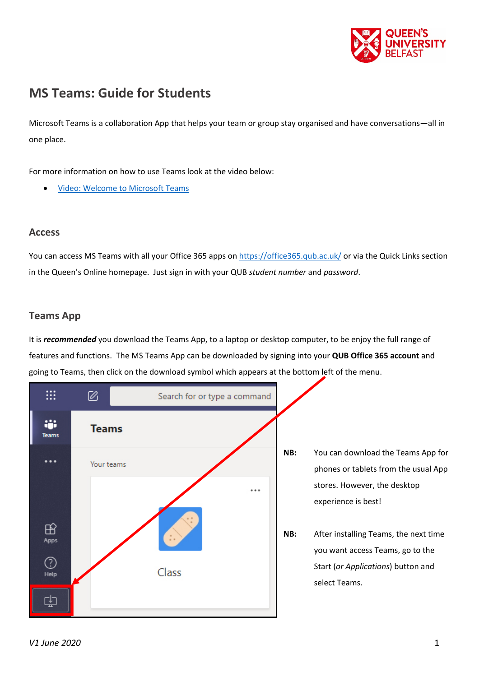

# **MS Teams: Guide for Students**

Microsoft Teams is a collaboration App that helps your team or group stay organised and have conversations—all in one place.

For more information on how to use Teams look at the video below:

• [Video: Welcome to Microsoft Teams](https://support.office.com/en-gb/article/video-welcome-to-microsoft-teams-b98d533f-118e-4bae-bf44-3df2470c2b12?wt.mc_id=otc_microsoft_teams)

## **Access**

You can access MS Teams with all your Office 365 apps on<https://office365.qub.ac.uk/> or via the Quick Links section in the Queen's Online homepage. Just sign in with your QUB *student number* and *password*.

## **Teams App**

It is *recommended* you download the Teams App, to a laptop or desktop computer, to be enjoy the full range of features and functions. The MS Teams App can be downloaded by signing into your **QUB Office 365 account** and going to Teams, then click on the download symbol which appears at the bottom left of the menu.